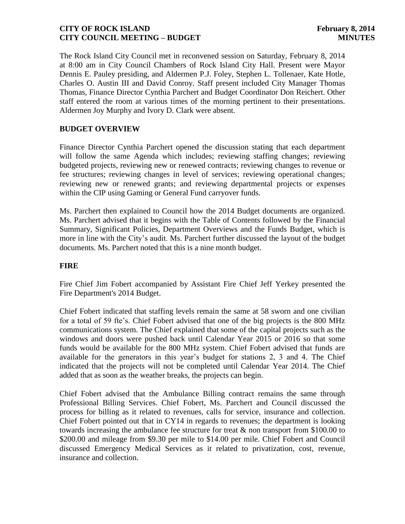The Rock Island City Council met in reconvened session on Saturday, February 8, 2014 at 8:00 am in City Council Chambers of Rock Island City Hall. Present were Mayor Dennis E. Pauley presiding, and Aldermen P.J. Foley, Stephen L. Tollenaer, Kate Hotle, Charles O. Austin III and David Conroy. Staff present included City Manager Thomas Thomas, Finance Director Cynthia Parchert and Budget Coordinator Don Reichert. Other staff entered the room at various times of the morning pertinent to their presentations. Aldermen Joy Murphy and Ivory D. Clark were absent.

# **BUDGET OVERVIEW**

Finance Director Cynthia Parchert opened the discussion stating that each department will follow the same Agenda which includes; reviewing staffing changes; reviewing budgeted projects, reviewing new or renewed contracts; reviewing changes to revenue or fee structures; reviewing changes in level of services; reviewing operational changes; reviewing new or renewed grants; and reviewing departmental projects or expenses within the CIP using Gaming or General Fund carryover funds.

Ms. Parchert then explained to Council how the 2014 Budget documents are organized. Ms. Parchert advised that it begins with the Table of Contents followed by the Financial Summary, Significant Policies, Department Overviews and the Funds Budget, which is more in line with the City's audit. Ms. Parchert further discussed the layout of the budget documents. Ms. Parchert noted that this is a nine month budget.

## **FIRE**

Fire Chief Jim Fobert accompanied by Assistant Fire Chief Jeff Yerkey presented the Fire Department's 2014 Budget.

Chief Fobert indicated that staffing levels remain the same at 58 sworn and one civilian for a total of 59 fte's. Chief Fobert advised that one of the big projects is the 800 MHz communications system. The Chief explained that some of the capital projects such as the windows and doors were pushed back until Calendar Year 2015 or 2016 so that some funds would be available for the 800 MHz system. Chief Fobert advised that funds are available for the generators in this year's budget for stations 2, 3 and 4. The Chief indicated that the projects will not be completed until Calendar Year 2014. The Chief added that as soon as the weather breaks, the projects can begin.

Chief Fobert advised that the Ambulance Billing contract remains the same through Professional Billing Services. Chief Fobert, Ms. Parchert and Council discussed the process for billing as it related to revenues, calls for service, insurance and collection. Chief Fobert pointed out that in CY14 in regards to revenues; the department is looking towards increasing the ambulance fee structure for treat & non transport from \$100.00 to \$200.00 and mileage from \$9.30 per mile to \$14.00 per mile. Chief Fobert and Council discussed Emergency Medical Services as it related to privatization, cost, revenue, insurance and collection.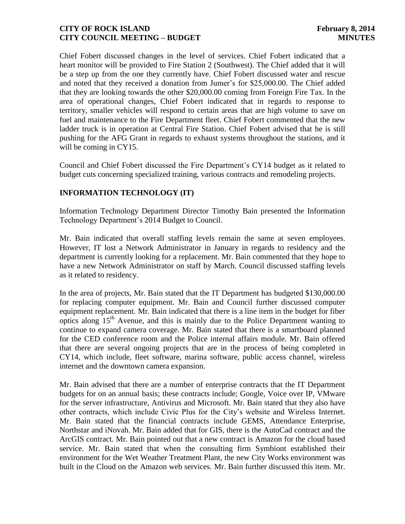Chief Fobert discussed changes in the level of services. Chief Fobert indicated that a heart monitor will be provided to Fire Station 2 (Southwest). The Chief added that it will be a step up from the one they currently have. Chief Fobert discussed water and rescue and noted that they received a donation from Jumer's for \$25,000.00. The Chief added that they are looking towards the other \$20,000.00 coming from Foreign Fire Tax. In the area of operational changes, Chief Fobert indicated that in regards to response to territory, smaller vehicles will respond to certain areas that are high volume to save on fuel and maintenance to the Fire Department fleet. Chief Fobert commented that the new ladder truck is in operation at Central Fire Station. Chief Fobert advised that he is still pushing for the AFG Grant in regards to exhaust systems throughout the stations, and it will be coming in CY15.

Council and Chief Fobert discussed the Fire Department's CY14 budget as it related to budget cuts concerning specialized training, various contracts and remodeling projects.

# **INFORMATION TECHNOLOGY (IT)**

Information Technology Department Director Timothy Bain presented the Information Technology Department's 2014 Budget to Council.

Mr. Bain indicated that overall staffing levels remain the same at seven employees. However, IT lost a Network Administrator in January in regards to residency and the department is currently looking for a replacement. Mr. Bain commented that they hope to have a new Network Administrator on staff by March. Council discussed staffing levels as it related to residency.

In the area of projects, Mr. Bain stated that the IT Department has budgeted \$130,000.00 for replacing computer equipment. Mr. Bain and Council further discussed computer equipment replacement. Mr. Bain indicated that there is a line item in the budget for fiber optics along  $15<sup>th</sup>$  Avenue, and this is mainly due to the Police Department wanting to continue to expand camera coverage. Mr. Bain stated that there is a smartboard planned for the CED conference room and the Police internal affairs module. Mr. Bain offered that there are several ongoing projects that are in the process of being completed in CY14, which include, fleet software, marina software, public access channel, wireless internet and the downtown camera expansion.

Mr. Bain advised that there are a number of enterprise contracts that the IT Department budgets for on an annual basis; these contracts include; Google, Voice over IP, VMware for the server infrastructure, Antivirus and Microsoft. Mr. Bain stated that they also have other contracts, which include Civic Plus for the City's website and Wireless Internet. Mr. Bain stated that the financial contracts include GEMS, Attendance Enterprise, Northstar and iNovah. Mr. Bain added that for GIS, there is the AutoCad contract and the ArcGIS contract. Mr. Bain pointed out that a new contract is Amazon for the cloud based service. Mr. Bain stated that when the consulting firm Symbiont established their environment for the Wet Weather Treatment Plant, the new City Works environment was built in the Cloud on the Amazon web services. Mr. Bain further discussed this item. Mr.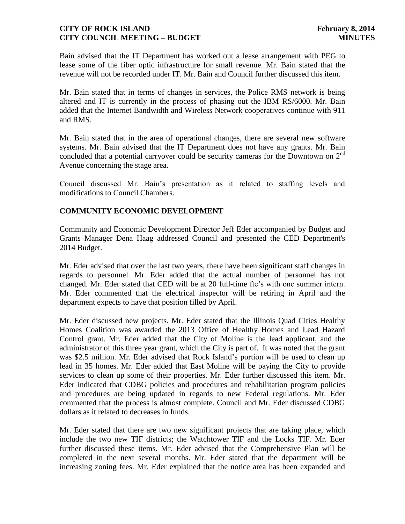Bain advised that the IT Department has worked out a lease arrangement with PEG to lease some of the fiber optic infrastructure for small revenue. Mr. Bain stated that the revenue will not be recorded under IT. Mr. Bain and Council further discussed this item.

Mr. Bain stated that in terms of changes in services, the Police RMS network is being altered and IT is currently in the process of phasing out the IBM RS/6000. Mr. Bain added that the Internet Bandwidth and Wireless Network cooperatives continue with 911 and RMS.

Mr. Bain stated that in the area of operational changes, there are several new software systems. Mr. Bain advised that the IT Department does not have any grants. Mr. Bain concluded that a potential carryover could be security cameras for the Downtown on  $2<sup>nd</sup>$ Avenue concerning the stage area.

Council discussed Mr. Bain's presentation as it related to staffing levels and modifications to Council Chambers.

# **COMMUNITY ECONOMIC DEVELOPMENT**

Community and Economic Development Director Jeff Eder accompanied by Budget and Grants Manager Dena Haag addressed Council and presented the CED Department's 2014 Budget.

Mr. Eder advised that over the last two years, there have been significant staff changes in regards to personnel. Mr. Eder added that the actual number of personnel has not changed. Mr. Eder stated that CED will be at 20 full-time fte's with one summer intern. Mr. Eder commented that the electrical inspector will be retiring in April and the department expects to have that position filled by April.

Mr. Eder discussed new projects. Mr. Eder stated that the Illinois Quad Cities Healthy Homes Coalition was awarded the 2013 Office of Healthy Homes and Lead Hazard Control grant. Mr. Eder added that the City of Moline is the lead applicant, and the administrator of this three year grant, which the City is part of. It was noted that the grant was \$2.5 million. Mr. Eder advised that Rock Island's portion will be used to clean up lead in 35 homes. Mr. Eder added that East Moline will be paying the City to provide services to clean up some of their properties. Mr. Eder further discussed this item. Mr. Eder indicated that CDBG policies and procedures and rehabilitation program policies and procedures are being updated in regards to new Federal regulations. Mr. Eder commented that the process is almost complete. Council and Mr. Eder discussed CDBG dollars as it related to decreases in funds.

Mr. Eder stated that there are two new significant projects that are taking place, which include the two new TIF districts; the Watchtower TIF and the Locks TIF. Mr. Eder further discussed these items. Mr. Eder advised that the Comprehensive Plan will be completed in the next several months. Mr. Eder stated that the department will be increasing zoning fees. Mr. Eder explained that the notice area has been expanded and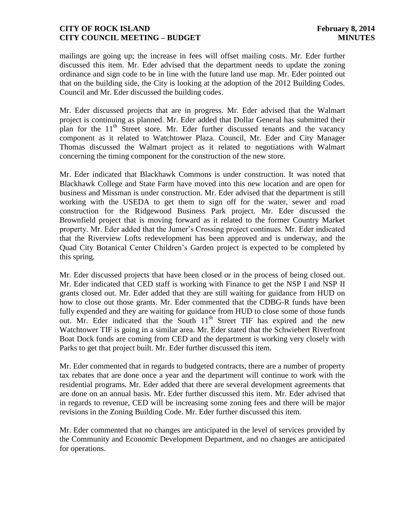mailings are going up; the increase in fees will offset mailing costs. Mr. Eder further discussed this item. Mr. Eder advised that the department needs to update the zoning ordinance and sign code to be in line with the future land use map. Mr. Eder pointed out that on the building side, the City is looking at the adoption of the 2012 Building Codes. Council and Mr. Eder discussed the building codes.

Mr. Eder discussed projects that are in progress. Mr. Eder advised that the Walmart project is continuing as planned. Mr. Eder added that Dollar General has submitted their plan for the  $11<sup>th</sup>$  Street store. Mr. Eder further discussed tenants and the vacancy component as it related to Watchtower Plaza. Council, Mr. Eder and City Manager Thomas discussed the Walmart project as it related to negotiations with Walmart concerning the timing component for the construction of the new store.

Mr. Eder indicated that Blackhawk Commons is under construction. It was noted that Blackhawk College and State Farm have moved into this new location and are open for business and Missman is under construction. Mr. Eder advised that the department is still working with the USEDA to get them to sign off for the water, sewer and road construction for the Ridgewood Business Park project. Mr. Eder discussed the Brownfield project that is moving forward as it related to the former Country Market property. Mr. Eder added that the Jumer's Crossing project continues. Mr. Eder indicated that the Riverview Lofts redevelopment has been approved and is underway, and the Quad City Botanical Center Children's Garden project is expected to be completed by this spring.

Mr. Eder discussed projects that have been closed or in the process of being closed out. Mr. Eder indicated that CED staff is working with Finance to get the NSP I and NSP II grants closed out. Mr. Eder added that they are still waiting for guidance from HUD on how to close out those grants. Mr. Eder commented that the CDBG-R funds have been fully expended and they are waiting for guidance from HUD to close some of those funds out. Mr. Eder indicated that the South  $11<sup>th</sup>$  Street TIF has expired and the new Watchtower TIF is going in a similar area. Mr. Eder stated that the Schwiebert Riverfront Boat Dock funds are coming from CED and the department is working very closely with Parks to get that project built. Mr. Eder further discussed this item.

Mr. Eder commented that in regards to budgeted contracts, there are a number of property tax rebates that are done once a year and the department will continue to work with the residential programs. Mr. Eder added that there are several development agreements that are done on an annual basis. Mr. Eder further discussed this item. Mr. Eder advised that in regards to revenue, CED will be increasing some zoning fees and there will be major revisions in the Zoning Building Code. Mr. Eder further discussed this item.

Mr. Eder commented that no changes are anticipated in the level of services provided by the Community and Economic Development Department, and no changes are anticipated for operations.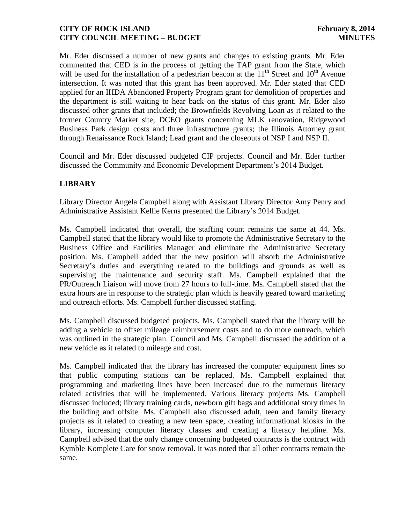Mr. Eder discussed a number of new grants and changes to existing grants. Mr. Eder commented that CED is in the process of getting the TAP grant from the State, which will be used for the installation of a pedestrian beacon at the  $11<sup>th</sup>$  Street and  $10<sup>th</sup>$  Avenue intersection. It was noted that this grant has been approved. Mr. Eder stated that CED applied for an IHDA Abandoned Property Program grant for demolition of properties and the department is still waiting to hear back on the status of this grant. Mr. Eder also discussed other grants that included; the Brownfields Revolving Loan as it related to the former Country Market site; DCEO grants concerning MLK renovation, Ridgewood Business Park design costs and three infrastructure grants; the Illinois Attorney grant through Renaissance Rock Island; Lead grant and the closeouts of NSP I and NSP II.

Council and Mr. Eder discussed budgeted CIP projects. Council and Mr. Eder further discussed the Community and Economic Development Department's 2014 Budget.

# **LIBRARY**

Library Director Angela Campbell along with Assistant Library Director Amy Penry and Administrative Assistant Kellie Kerns presented the Library's 2014 Budget.

Ms. Campbell indicated that overall, the staffing count remains the same at 44. Ms. Campbell stated that the library would like to promote the Administrative Secretary to the Business Office and Facilities Manager and eliminate the Administrative Secretary position. Ms. Campbell added that the new position will absorb the Administrative Secretary's duties and everything related to the buildings and grounds as well as supervising the maintenance and security staff. Ms. Campbell explained that the PR/Outreach Liaison will move from 27 hours to full-time. Ms. Campbell stated that the extra hours are in response to the strategic plan which is heavily geared toward marketing and outreach efforts. Ms. Campbell further discussed staffing.

Ms. Campbell discussed budgeted projects. Ms. Campbell stated that the library will be adding a vehicle to offset mileage reimbursement costs and to do more outreach, which was outlined in the strategic plan. Council and Ms. Campbell discussed the addition of a new vehicle as it related to mileage and cost.

Ms. Campbell indicated that the library has increased the computer equipment lines so that public computing stations can be replaced. Ms. Campbell explained that programming and marketing lines have been increased due to the numerous literacy related activities that will be implemented. Various literacy projects Ms. Campbell discussed included; library training cards, newborn gift bags and additional story times in the building and offsite. Ms. Campbell also discussed adult, teen and family literacy projects as it related to creating a new teen space, creating informational kiosks in the library, increasing computer literacy classes and creating a literacy helpline. Ms. Campbell advised that the only change concerning budgeted contracts is the contract with Kymble Komplete Care for snow removal. It was noted that all other contracts remain the same.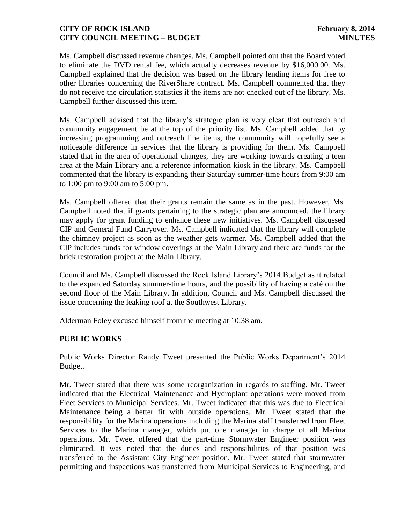Ms. Campbell discussed revenue changes. Ms. Campbell pointed out that the Board voted to eliminate the DVD rental fee, which actually decreases revenue by \$16,000.00. Ms. Campbell explained that the decision was based on the library lending items for free to other libraries concerning the RiverShare contract. Ms. Campbell commented that they do not receive the circulation statistics if the items are not checked out of the library. Ms. Campbell further discussed this item.

Ms. Campbell advised that the library's strategic plan is very clear that outreach and community engagement be at the top of the priority list. Ms. Campbell added that by increasing programming and outreach line items, the community will hopefully see a noticeable difference in services that the library is providing for them. Ms. Campbell stated that in the area of operational changes, they are working towards creating a teen area at the Main Library and a reference information kiosk in the library. Ms. Campbell commented that the library is expanding their Saturday summer-time hours from 9:00 am to 1:00 pm to 9:00 am to 5:00 pm.

Ms. Campbell offered that their grants remain the same as in the past. However, Ms. Campbell noted that if grants pertaining to the strategic plan are announced, the library may apply for grant funding to enhance these new initiatives. Ms. Campbell discussed CIP and General Fund Carryover. Ms. Campbell indicated that the library will complete the chimney project as soon as the weather gets warmer. Ms. Campbell added that the CIP includes funds for window coverings at the Main Library and there are funds for the brick restoration project at the Main Library.

Council and Ms. Campbell discussed the Rock Island Library's 2014 Budget as it related to the expanded Saturday summer-time hours, and the possibility of having a café on the second floor of the Main Library. In addition, Council and Ms. Campbell discussed the issue concerning the leaking roof at the Southwest Library.

Alderman Foley excused himself from the meeting at 10:38 am.

#### **PUBLIC WORKS**

Public Works Director Randy Tweet presented the Public Works Department's 2014 Budget.

Mr. Tweet stated that there was some reorganization in regards to staffing. Mr. Tweet indicated that the Electrical Maintenance and Hydroplant operations were moved from Fleet Services to Municipal Services. Mr. Tweet indicated that this was due to Electrical Maintenance being a better fit with outside operations. Mr. Tweet stated that the responsibility for the Marina operations including the Marina staff transferred from Fleet Services to the Marina manager, which put one manager in charge of all Marina operations. Mr. Tweet offered that the part-time Stormwater Engineer position was eliminated. It was noted that the duties and responsibilities of that position was transferred to the Assistant City Engineer position. Mr. Tweet stated that stormwater permitting and inspections was transferred from Municipal Services to Engineering, and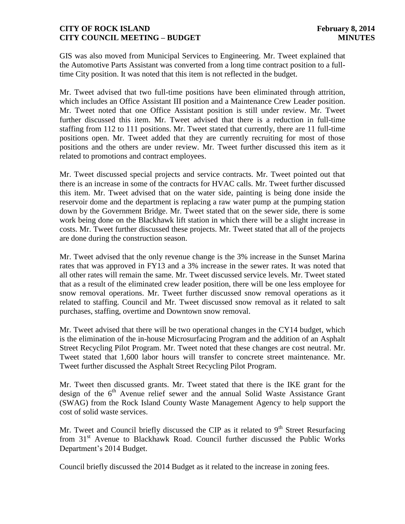GIS was also moved from Municipal Services to Engineering. Mr. Tweet explained that the Automotive Parts Assistant was converted from a long time contract position to a fulltime City position. It was noted that this item is not reflected in the budget.

Mr. Tweet advised that two full-time positions have been eliminated through attrition, which includes an Office Assistant III position and a Maintenance Crew Leader position. Mr. Tweet noted that one Office Assistant position is still under review. Mr. Tweet further discussed this item. Mr. Tweet advised that there is a reduction in full-time staffing from 112 to 111 positions. Mr. Tweet stated that currently, there are 11 full-time positions open. Mr. Tweet added that they are currently recruiting for most of those positions and the others are under review. Mr. Tweet further discussed this item as it related to promotions and contract employees.

Mr. Tweet discussed special projects and service contracts. Mr. Tweet pointed out that there is an increase in some of the contracts for HVAC calls. Mr. Tweet further discussed this item. Mr. Tweet advised that on the water side, painting is being done inside the reservoir dome and the department is replacing a raw water pump at the pumping station down by the Government Bridge. Mr. Tweet stated that on the sewer side, there is some work being done on the Blackhawk lift station in which there will be a slight increase in costs. Mr. Tweet further discussed these projects. Mr. Tweet stated that all of the projects are done during the construction season.

Mr. Tweet advised that the only revenue change is the 3% increase in the Sunset Marina rates that was approved in FY13 and a 3% increase in the sewer rates. It was noted that all other rates will remain the same. Mr. Tweet discussed service levels. Mr. Tweet stated that as a result of the eliminated crew leader position, there will be one less employee for snow removal operations. Mr. Tweet further discussed snow removal operations as it related to staffing. Council and Mr. Tweet discussed snow removal as it related to salt purchases, staffing, overtime and Downtown snow removal.

Mr. Tweet advised that there will be two operational changes in the CY14 budget, which is the elimination of the in-house Microsurfacing Program and the addition of an Asphalt Street Recycling Pilot Program. Mr. Tweet noted that these changes are cost neutral. Mr. Tweet stated that 1,600 labor hours will transfer to concrete street maintenance. Mr. Tweet further discussed the Asphalt Street Recycling Pilot Program.

Mr. Tweet then discussed grants. Mr. Tweet stated that there is the IKE grant for the design of the  $6<sup>th</sup>$  Avenue relief sewer and the annual Solid Waste Assistance Grant (SWAG) from the Rock Island County Waste Management Agency to help support the cost of solid waste services.

Mr. Tweet and Council briefly discussed the CIP as it related to  $9<sup>th</sup>$  Street Resurfacing from 31<sup>st</sup> Avenue to Blackhawk Road. Council further discussed the Public Works Department's 2014 Budget.

Council briefly discussed the 2014 Budget as it related to the increase in zoning fees.